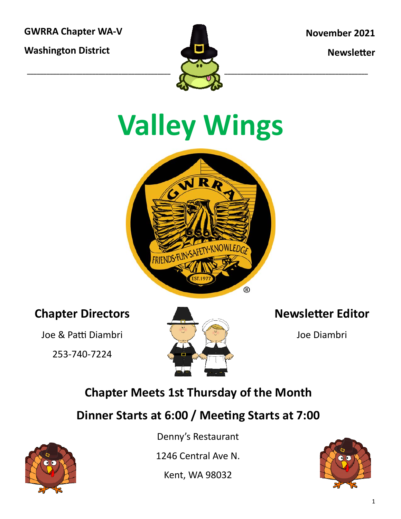**GWRRA Chapter WA‐V** 

**Washington District** 



**November 2021** 

**Newsletter** 

# **Valley Wings**



#### **Chapter Directors**

Joe & Patti Diambri

253‐740‐7224



#### **Newsletter Editor**

Joe Diambri

### **Chapter Meets 1st Thursday of the Month**

#### **Dinner Starts at 6:00 / MeeƟng Starts at 7:00**



Denny's Restaurant

1246 Central Ave N.

Kent, WA 98032

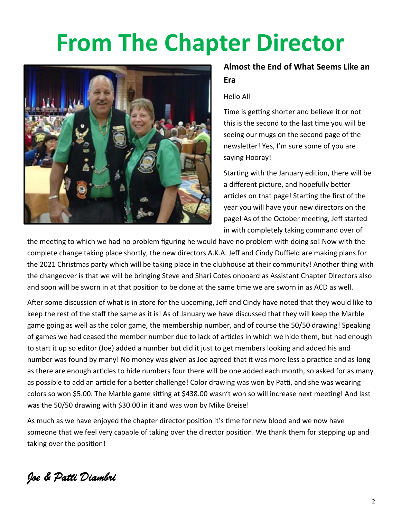### **From The Chapter Director**



#### **Almost the End of What Seems Like an Era**

#### Hello All

Time is getting shorter and believe it or not this is the second to the last time you will be seeing our mugs on the second page of the newsletter! Yes, I'm sure some of you are saying Hooray!

Starting with the January edition, there will be a different picture, and hopefully better articles on that page! Starting the first of the year you will have your new directors on the page! As of the October meeting, Jeff started in with completely taking command over of

the meeting to which we had no problem figuring he would have no problem with doing so! Now with the complete change taking place shortly, the new directors A.K.A. Jeff and Cindy Duffield are making plans for the 2021 Christmas party which will be taking place in the clubhouse at their community! Another thing with the changeover is that we will be bringing Steve and Shari Cotes onboard as Assistant Chapter Directors also and soon will be sworn in at that position to be done at the same time we are sworn in as ACD as well.

After some discussion of what is in store for the upcoming, Jeff and Cindy have noted that they would like to keep the rest of the staff the same as it is! As of January we have discussed that they will keep the Marble game going as well as the color game, the membership number, and of course the 50/50 drawing! Speaking of games we had ceased the member number due to lack of articles in which we hide them, but had enough to start it up so editor (Joe) added a number but did it just to get members looking and added his and number was found by many! No money was given as Joe agreed that it was more less a practice and as long as there are enough articles to hide numbers four there will be one added each month, so asked for as many as possible to add an article for a better challenge! Color drawing was won by Patti, and she was wearing colors so won \$5.00. The Marble game sitting at \$438.00 wasn't won so will increase next meeting! And last was the 50/50 drawing with \$30.00 in it and was won by Mike Breise!

As much as we have enjoyed the chapter director position it's time for new blood and we now have someone that we feel very capable of taking over the director position. We thank them for stepping up and taking over the position!

*Joe & Patti Diambri*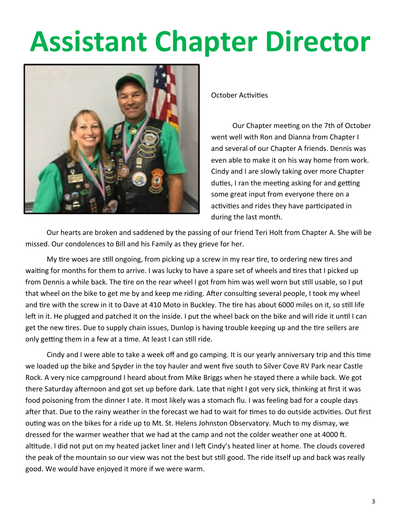### **Assistant Chapter Director**



October Activities

Our Chapter meeting on the 7th of October went well with Ron and Dianna from Chapter I and several of our Chapter A friends. Dennis was even able to make it on his way home from work. Cindy and I are slowly taking over more Chapter duties, I ran the meeting asking for and getting some great input from everyone there on a activities and rides they have participated in during the last month.

 Our hearts are broken and saddened by the passing of our friend Teri Holt from Chapter A. She will be missed. Our condolences to Bill and his Family as they grieve for her.

My tire woes are still ongoing, from picking up a screw in my rear tire, to ordering new tires and waiting for months for them to arrive. I was lucky to have a spare set of wheels and tires that I picked up from Dennis a while back. The tire on the rear wheel I got from him was well worn but still usable, so I put that wheel on the bike to get me by and keep me riding. After consulting several people, I took my wheel and tire with the screw in it to Dave at 410 Moto in Buckley. The tire has about 6000 miles on it, so still life left in it. He plugged and patched it on the inside. I put the wheel back on the bike and will ride it until I can get the new tires. Due to supply chain issues, Dunlop is having trouble keeping up and the tire sellers are only getting them in a few at a time. At least I can still ride.

Cindy and I were able to take a week off and go camping. It is our yearly anniversary trip and this time we loaded up the bike and Spyder in the toy hauler and went five south to Silver Cove RV Park near Castle Rock. A very nice campground I heard about from Mike Briggs when he stayed there a while back. We got there Saturday afternoon and got set up before dark. Late that night I got very sick, thinking at first it was food poisoning from the dinner I ate. It most likely was a stomach flu. I was feeling bad for a couple days after that. Due to the rainy weather in the forecast we had to wait for times to do outside activities. Out first outing was on the bikes for a ride up to Mt. St. Helens Johnston Observatory. Much to my dismay, we dressed for the warmer weather that we had at the camp and not the colder weather one at 4000 ft. altitude. I did not put on my heated jacket liner and I left Cindy's heated liner at home. The clouds covered the peak of the mountain so our view was not the best but still good. The ride itself up and back was really good. We would have enjoyed it more if we were warm.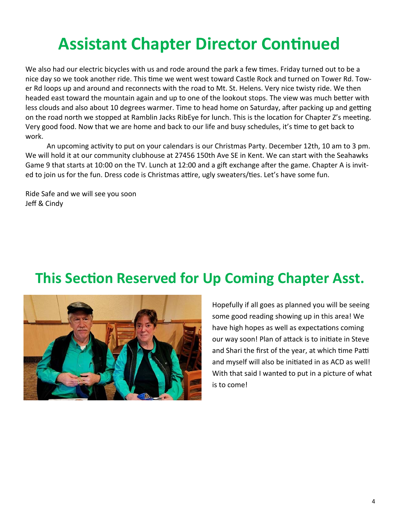### **Assistant Chapter Director Continued**

We also had our electric bicycles with us and rode around the park a few times. Friday turned out to be a nice day so we took another ride. This time we went west toward Castle Rock and turned on Tower Rd. Tower Rd loops up and around and reconnects with the road to Mt. St. Helens. Very nice twisty ride. We then headed east toward the mountain again and up to one of the lookout stops. The view was much better with less clouds and also about 10 degrees warmer. Time to head home on Saturday, after packing up and getting on the road north we stopped at Ramblin Jacks RibEye for lunch. This is the location for Chapter Z's meeting. Very good food. Now that we are home and back to our life and busy schedules, it's time to get back to work.

An upcoming activity to put on your calendars is our Christmas Party. December 12th, 10 am to 3 pm. We will hold it at our community clubhouse at 27456 150th Ave SE in Kent. We can start with the Seahawks Game 9 that starts at 10:00 on the TV. Lunch at 12:00 and a gift exchange after the game. Chapter A is invited to join us for the fun. Dress code is Christmas attire, ugly sweaters/ties. Let's have some fun.

Ride Safe and we will see you soon Jeff & Cindy

### **This Section Reserved for Up Coming Chapter Asst.**



Hopefully if all goes as planned you will be seeing some good reading showing up in this area! We have high hopes as well as expectations coming our way soon! Plan of attack is to initiate in Steve and Shari the first of the year, at which time Patti and myself will also be initiated in as ACD as well! With that said I wanted to put in a picture of what is to come!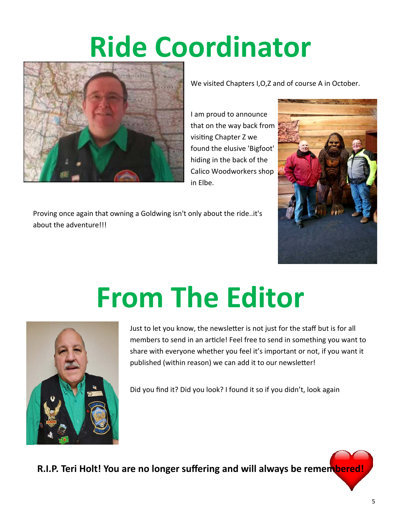### **Ride Coordinator**



We visited Chapters I,O,Z and of course A in October.

I am proud to announce that on the way back from visiting Chapter Z we found the elusive 'Bigfoot' hiding in the back of the Calico Woodworkers shop in Elbe.



Proving once again that owning a Goldwing isn't only about the ride..it's about the adventure!!!

## **From The Editor**



Just to let you know, the newsletter is not just for the staff but is for all members to send in an article! Feel free to send in something you want to share with everyone whether you feel it's important or not, if you want it published (within reason) we can add it to our newsletter!

Did you find it? Did you look? I found it so if you didn't, look again

**R.I.P. Teri Holt! You are no longer suffering and will always be remembered!**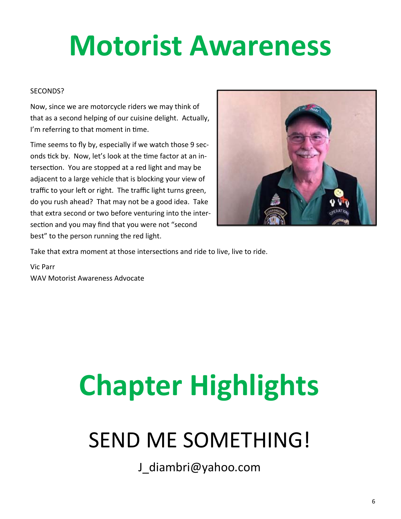### **Motorist Awareness**

#### SECONDS?

Now, since we are motorcycle riders we may think of that as a second helping of our cuisine delight. Actually, I'm referring to that moment in time.

Time seems to fly by, especially if we watch those 9 sec‐ onds tick by. Now, let's look at the time factor at an intersection. You are stopped at a red light and may be adjacent to a large vehicle that is blocking your view of traffic to your left or right. The traffic light turns green, do you rush ahead? That may not be a good idea. Take that extra second or two before venturing into the inter‐ section and you may find that you were not "second best" to the person running the red light.



Take that extra moment at those intersections and ride to live, live to ride.

Vic Parr WAV Motorist Awareness Advocate

# **Chapter Highlights**

### SEND ME SOMETHING!

J\_diambri@yahoo.com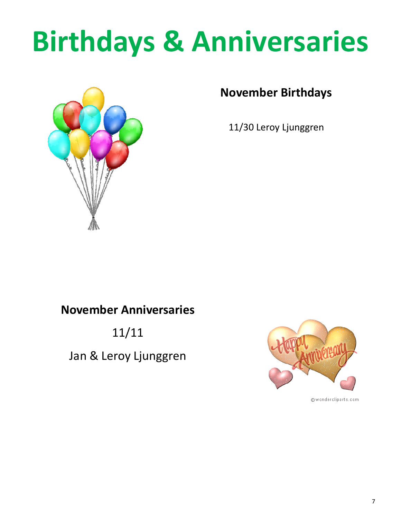### **Birthdays & Anniversaries**



#### **November Birthdays**

11/30 Leroy Ljunggren

#### **November Anniversaries**

11/11

Jan & Leroy Ljunggren



@wondercliparts.com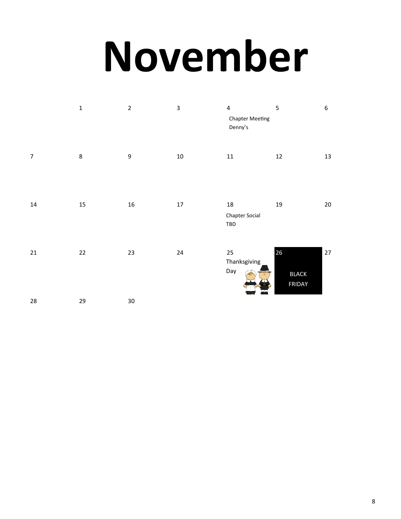# **November**

|                  | $\mathbf 1$ | $\overline{2}$   | $\overline{\mathbf{3}}$ | $\overline{4}$<br><b>Chapter Meeting</b><br>Denny's | 5                            | 6      |
|------------------|-------------|------------------|-------------------------|-----------------------------------------------------|------------------------------|--------|
| $\boldsymbol{7}$ | $\,8\,$     | $\boldsymbol{9}$ | $10\,$                  | ${\bf 11}$                                          | $12\,$                       | 13     |
| $14\,$           | 15          | 16               | $17\,$                  | $18\,$<br><b>Chapter Social</b><br>TBD              | $19\,$                       | $20\,$ |
| $21\,$           | 22          | 23               | 24                      | 25<br>Thanksgiving<br>Day                           | 26<br><b>BLACK</b><br>FRIDAY | $27\,$ |
| 28               | 29          | 30               |                         |                                                     |                              |        |